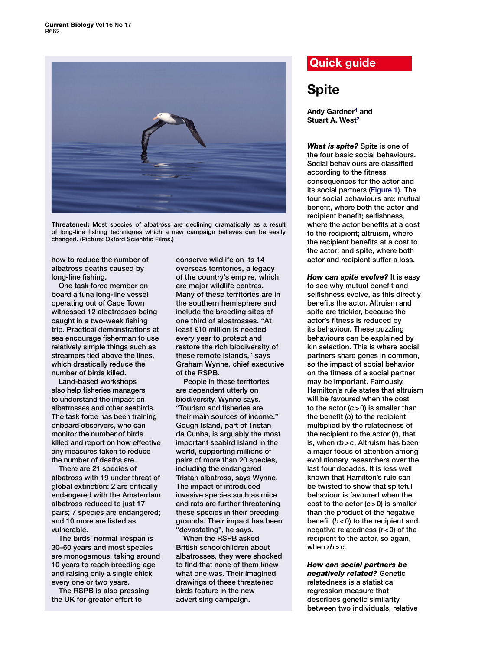

Threatened: Most species of albatross are declining dramatically as a result of long-line fishing techniques which a new campaign believes can be easily changed. (Picture: Oxford Scientific Films.)

how to reduce the number of albatross deaths caused by long-line fishing.

One task force member on board a tuna long-line vessel operating out of Cape Town witnessed 12 albatrosses being caught in a two-week fishing trip. Practical demonstrations at sea encourage fisherman to use relatively simple things such as streamers tied above the lines, which drastically reduce the number of birds killed.

Land-based workshops also help fisheries managers to understand the impact on albatrosses and other seabirds. The task force has been training onboard observers, who can monitor the number of birds killed and report on how effective any measures taken to reduce the number of deaths are.

There are 21 species of albatross with 19 under threat of global extinction: 2 are critically endangered with the Amsterdam albatross reduced to just 17 pairs; 7 species are endangered; and 10 more are listed as vulnerable.

The birds' normal lifespan is 30–60 years and most species are monogamous, taking around 10 years to reach breeding age and raising only a single chick every one or two years.

The RSPB is also pressing the UK for greater effort to

conserve wildlife on its 14 overseas territories, a legacy of the country's empire, which are major wildlife centres. Many of these territories are in the southern hemisphere and include the breeding sites of one third of albatrosses. "At least **£**10 million is needed every year to protect and restore the rich biodiversity of these remote islands," says Graham Wynne, chief executive of the RSPB.

People in these territories are dependent utterly on biodiversity, Wynne says. "Tourism and fisheries are their main sources of income." Gough Island, part of Tristan da Cunha, is arguably the most important seabird island in the world, supporting millions of pairs of more than 20 species, including the endangered Tristan albatross, says Wynne. The impact of introduced invasive species such as mice and rats are further threatening these species in their breeding grounds. Their impact has been "devastating", he says.

When the RSPB asked British schoolchildren about albatrosses, they were shocked to find that none of them knew what one was. Their imagined drawings of these threatened birds feature in the new advertising campaign.

## **Quick guide**

# **Spite**

**Andy Gardne[r1](#page-2-0) and Stuart A. Wes[t2](#page-2-0)**

*What is spite?* Spite is one of the four basic social behaviours. Social behaviours are classified according to the fitness consequences for the actor and its social partners ([Figure 1](#page-1-0)). The four social behaviours are: mutual benefit, where both the actor and recipient benefit; selfishness, where the actor benefits at a cost to the recipient; altruism, where the recipient benefits at a cost to the actor; and spite, where both actor and recipient suffer a loss.

*How can spite evolve?* It is easy to see why mutual benefit and selfishness evolve, as this directly benefits the actor. Altruism and spite are trickier, because the actor's fitness is reduced by its behaviour. These puzzling behaviours can be explained by kin selection. This is where social partners share genes in common, so the impact of social behavior on the fitness of a social partner may be important. Famously, Hamilton's rule states that altruism will be favoured when the cost to the actor (*c*>0) is smaller than the benefit (*b*) to the recipient multiplied by the relatedness of the recipient to the actor (*r*), that is, when *rb*>*c*. Altruism has been a major focus of attention among evolutionary researchers over the last four decades. It is less well known that Hamilton's rule can be twisted to show that spiteful behaviour is favoured when the cost to the actor (*c*>0) is smaller than the product of the negative benefit (*b*<0) to the recipient and negative relatedness  $(r < 0)$  of the recipient to the actor, so again, when *rb*>*c*.

*How can social partners be negatively related?* Genetic relatedness is a statistical regression measure that describes genetic similarity between two individuals, relative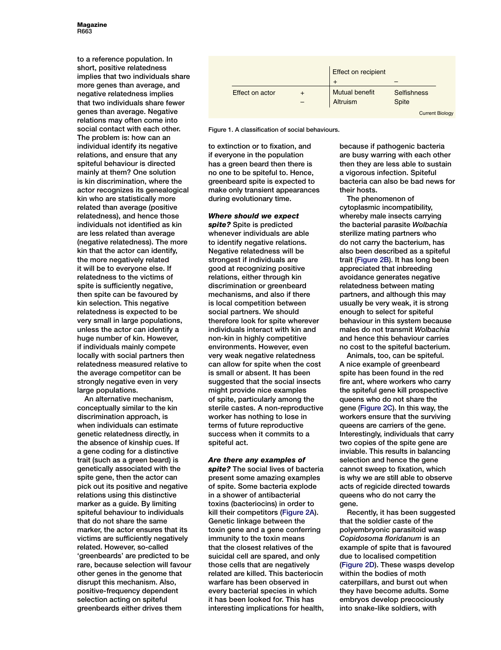<span id="page-1-0"></span>to a reference population. In short, positive relatedness implies that two individuals share more genes than average, and negative relatedness implies that two individuals share fewer genes than average. Negative relations may often come into social contact with each other. The problem is: how can an individual identify its negative relations, and ensure that any spiteful behaviour is directed mainly at them? One solution is kin discrimination, where the actor recognizes its genealogical kin who are statistically more related than average (positive relatedness), and hence those individuals not identified as kin are less related than average (negative relatedness). The more kin that the actor can identify, the more negatively related it will be to everyone else. If relatedness to the victims of spite is sufficiently negative, then spite can be favoured by kin selection. This negative relatedness is expected to be very small in large populations, unless the actor can identify a huge number of kin. However, if individuals mainly compete locally with social partners then relatedness measured relative to the average competitor can be strongly negative even in very large populations.

An alternative mechanism, conceptually similar to the kin discrimination approach, is when individuals can estimate genetic relatedness directly, in the absence of kinship cues. If a gene coding for a distinctive trait (such as a green beard) is genetically associated with the spite gene, then the actor can pick out its positive and negative relations using this distinctive marker as a guide. By limiting spiteful behaviour to individuals that do not share the same marker, the actor ensures that its victims are sufficiently negatively related. However, so-called 'greenbeards' are predicted to be rare, because selection will favour other genes in the genome that disrupt this mechanism. Also, positive-frequency dependent selection acting on spiteful greenbeards either drives them

|                 |                                   | <b>Effect on recipient</b>         |  |
|-----------------|-----------------------------------|------------------------------------|--|
|                 | $\overline{+}$                    |                                    |  |
| Effect on actor | <b>Mutual benefit</b><br>Altruism | <b>Selfishness</b><br><b>Spite</b> |  |
|                 |                                   | <b>Current Biology</b>             |  |

Figure 1. A classification of social behaviours.

to extinction or to fixation, and if everyone in the population has a green beard then there is no one to be spiteful to. Hence, greenbeard spite is expected to make only transient appearances during evolutionary time.

#### *Where should we expect*

*spite?* Spite is predicted whenever individuals are able to identify negative relations. Negative relatedness will be strongest if individuals are good at recognizing positive relations, either through kin discrimination or greenbeard mechanisms, and also if there is local competition between social partners. We should therefore look for spite wherever individuals interact with kin and non-kin in highly competitive environments. However, even very weak negative relatedness can allow for spite when the cost is small or absent. It has been suggested that the social insects might provide nice examples of spite, particularly among the sterile castes. A non-reproductive worker has nothing to lose in terms of future reproductive success when it commits to a spiteful act.

*Are there any examples of spite?* The social lives of bacteria present some amazing examples of spite. Some bacteria explode in a shower of antibacterial toxins (bacteriocins) in order to kill their competitors ([Figure 2A\)](#page-2-0). Genetic linkage between the toxin gene and a gene conferring immunity to the toxin means that the closest relatives of the suicidal cell are spared, and only those cells that are negatively related are killed. This bacteriocin warfare has been observed in every bacterial species in which it has been looked for. This has interesting implications for health,

because if pathogenic bacteria are busy warring with each other then they are less able to sustain a vigorous infection. Spiteful bacteria can also be bad news for their hosts.

The phenomenon of cytoplasmic incompatibility, whereby male insects carrying the bacterial parasite *Wolbachia* sterilize mating partners who do not carry the bacterium, has also been described as a spiteful trait ([Figure 2B](#page-2-0)). It has long been appreciated that inbreeding avoidance generates negative relatedness between mating partners, and although this may usually be very weak, it is strong enough to select for spiteful behaviour in this system because males do not transmit *Wolbachia* and hence this behaviour carries no cost to the spiteful bacterium.

Animals, too, can be spiteful. A nice example of greenbeard spite has been found in the red fire ant, where workers who carry the spiteful gene kill prospective queens who do not share the gene ([Figure 2C\)](#page-2-0). In this way, the workers ensure that the surviving queens are carriers of the gene. Interestingly, individuals that carry two copies of the spite gene are inviable. This results in balancing selection and hence the gene cannot sweep to fixation, which is why we are still able to observe acts of regicide directed towards queens who do not carry the gene.

Recently, it has been suggested that the soldier caste of the polyembryonic parasitoid wasp *Copidosoma floridanum* is an example of spite that is favoured due to localised competition ([Figure 2D](#page-2-0)). These wasps develop within the bodies of moth caterpillars, and burst out when they have become adults. Some embryos develop precociously into snake-like soldiers, with